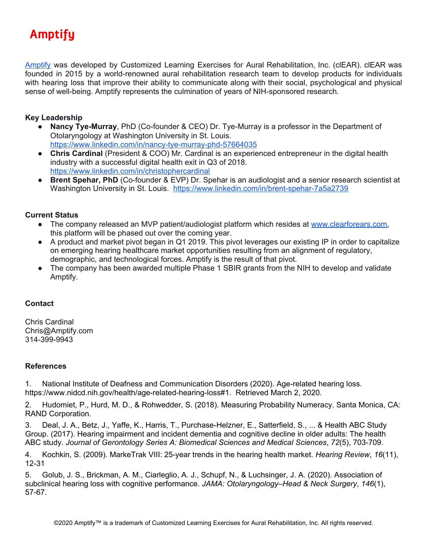# **Amptifu**

[Amptify](https://www.amptify.com/) was developed by Customized Learning Exercises for Aural Rehabilitation, Inc. (clEAR). clEAR was founded in 2015 by a world-renowned aural rehabilitation research team to develop products for individuals with hearing loss that improve their ability to communicate along with their social, psychological and physical sense of well-being. Amptify represents the culmination of years of NIH-sponsored research.

## **Key Leadership**

- **Nancy Tye-Murray**, PhD (Co-founder & CEO) Dr. Tye-Murray is a professor in the Department of Otolaryngology at Washington University in St. Louis. <https://www.linkedin.com/in/nancy-tye-murray-phd-57664035>
- **Chris Cardinal** (President & COO) Mr. Cardinal is an experienced entrepreneur in the digital health industry with a successful digital health exit in Q3 of 2018. <https://www.linkedin.com/in/christophercardinal>
- **Brent Spehar, PhD** (Co-founder & EVP) Dr. Spehar is an audiologist and a senior research scientist at Washington University in St. Louis. <https://www.linkedin.com/in/brent-spehar-7a5a2739>

## **Current Status**

- The company released an MVP patient/audiologist platform which resides at [www.clearforears.com](http://www.clearforears.com/), this platform will be phased out over the coming year.
- A product and market pivot began in Q1 2019. This pivot leverages our existing IP in order to capitalize on emerging hearing healthcare market opportunities resulting from an alignment of regulatory, demographic, and technological forces. Amptify is the result of that pivot.
- The company has been awarded multiple Phase 1 SBIR grants from the NIH to develop and validate Amptify.

#### **Contact**

Chris Cardinal Chris@Amptify.com 314-399-9943

#### **References**

1. National Institute of Deafness and Communication Disorders (2020). Age-related hearing loss. <https://www.nidcd.nih.gov/health/age-related-hearing-loss#1>. Retrieved March 2, 2020.

2. Hudomiet, P., Hurd, M. D., & Rohwedder, S. (2018). Measuring Probability Numeracy. Santa Monica, CA: RAND Corporation.

3. Deal, J. A., Betz, J., Yaffe, K., Harris, T., Purchase-Helzner, E., Satterfield, S., ... & Health ABC Study Group. (2017). Hearing impairment and incident dementia and cognitive decline in older adults: The health ABC study. *Journal of Gerontology Series A: Biomedical Sciences and Medical Sciences*, *72*(5), 703-709.

4. Kochkin, S. (2009). MarkeTrak VIII: 25-year trends in the hearing health market. *Hearing Review*, *16*(11), 12-31

5. Golub, J. S., Brickman, A. M., Ciarleglio, A. J., Schupf, N., & Luchsinger, J. A. (2020). Association of subclinical hearing loss with cognitive performance. *JAMA: Otolaryngology–Head & Neck Surgery*, *146*(1), 57-67.